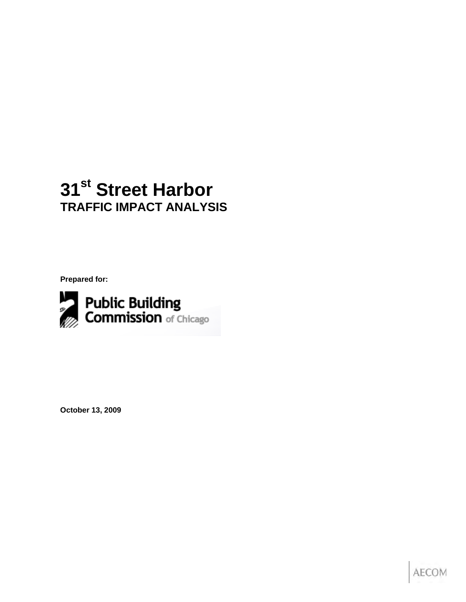## **31st Street Harbor TRAFFIC IMPACT ANALYSIS**

**Prepared for:** 



**October 13, 2009** 

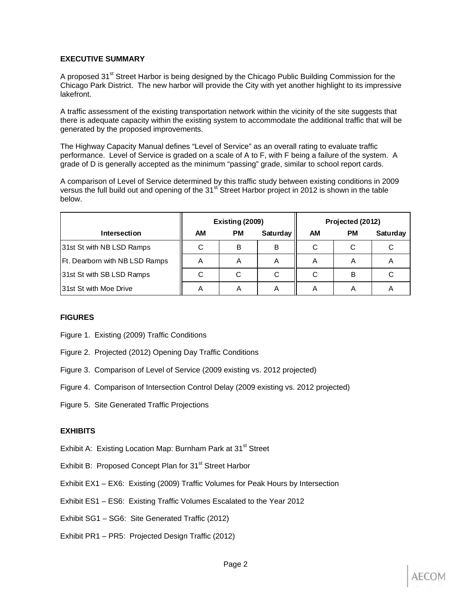#### **EXECUTIVE SUMMARY**

A proposed 31<sup>st</sup> Street Harbor is being designed by the Chicago Public Building Commission for the Chicago Park District. The new harbor will provide the City with yet another highlight to its impressive lakefront.

A traffic assessment of the existing transportation network within the vicinity of the site suggests that there is adequate capacity within the existing system to accommodate the additional traffic that will be generated by the proposed improvements.

The Highway Capacity Manual defines "Level of Service" as an overall rating to evaluate traffic performance. Level of Service is graded on a scale of A to F, with F being a failure of the system. A grade of D is generally accepted as the minimum "passing" grade, similar to school report cards.

A comparison of Level of Service determined by this traffic study between existing conditions in 2009 versus the full build out and opening of the 31<sup>st</sup> Street Harbor project in 2012 is shown in the table below.

|                                |           | Existing (2009) |          | Projected (2012) |    |          |  |
|--------------------------------|-----------|-----------------|----------|------------------|----|----------|--|
| <b>Intersection</b>            | <b>AM</b> | <b>PM</b>       | Saturday | <b>AM</b>        | РM | Saturday |  |
| 31st St with NB LSD Ramps      | С         | В               | В        | С                | С  |          |  |
| Ft. Dearborn with NB LSD Ramps | A         | A               | A        | A                | Α  | ┍        |  |
| 31st St with SB LSD Ramps      | C         | С               | С        | С                | В  | С        |  |
| 31st St with Moe Drive         | A         | Α               | A        | Α                | Α  | Α        |  |

#### **FIGURES**

- Figure 1. Existing (2009) Traffic Conditions
- Figure 2. Projected (2012) Opening Day Traffic Conditions
- Figure 3. Comparison of Level of Service (2009 existing vs. 2012 projected)
- Figure 4. Comparison of Intersection Control Delay (2009 existing vs. 2012 projected)
- Figure 5. Site Generated Traffic Projections

#### **EXHIBITS**

- Exhibit A: Existing Location Map: Burnham Park at 31<sup>st</sup> Street
- Exhibit B: Proposed Concept Plan for 31<sup>st</sup> Street Harbor
- Exhibit EX1 EX6: Existing (2009) Traffic Volumes for Peak Hours by Intersection
- Exhibit ES1 ES6: Existing Traffic Volumes Escalated to the Year 2012
- Exhibit SG1 SG6: Site Generated Traffic (2012)
- Exhibit PR1 PR5: Projected Design Traffic (2012)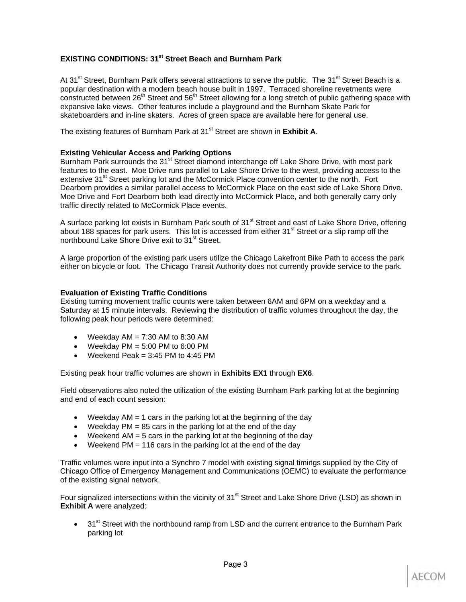#### **EXISTING CONDITIONS: 31<sup>st</sup> Street Beach and Burnham Park**

At 31<sup>st</sup> Street, Burnham Park offers several attractions to serve the public. The 31<sup>st</sup> Street Beach is a popular destination with a modern beach house built in 1997. Terraced shoreline revetments were  $\overline{\phantom{a}}$  constructed between 26<sup>th</sup> Street and 56<sup>th</sup> Street allowing for a long stretch of public gathering space with expansive lake views. Other features include a playground and the Burnham Skate Park for skateboarders and in-line skaters. Acres of green space are available here for general use.

The existing features of Burnham Park at 31<sup>st</sup> Street are shown in **Exhibit A**.

#### **Existing Vehicular Access and Parking Options**

Burnham Park surrounds the 31<sup>st</sup> Street diamond interchange off Lake Shore Drive, with most park features to the east. Moe Drive runs parallel to Lake Shore Drive to the west, providing access to the extensive 31<sup>st</sup> Street parking lot and the McCormick Place convention center to the north. Fort Dearborn provides a similar parallel access to McCormick Place on the east side of Lake Shore Drive. Moe Drive and Fort Dearborn both lead directly into McCormick Place, and both generally carry only traffic directly related to McCormick Place events.

A surface parking lot exists in Burnham Park south of 31<sup>st</sup> Street and east of Lake Shore Drive, offering about 188 spaces for park users. This lot is accessed from either  $31<sup>st</sup>$  Street or a slip ramp off the northbound Lake Shore Drive exit to 31<sup>st</sup> Street.

A large proportion of the existing park users utilize the Chicago Lakefront Bike Path to access the park either on bicycle or foot. The Chicago Transit Authority does not currently provide service to the park.

#### **Evaluation of Existing Traffic Conditions**

Existing turning movement traffic counts were taken between 6AM and 6PM on a weekday and a Saturday at 15 minute intervals. Reviewing the distribution of traffic volumes throughout the day, the following peak hour periods were determined:

- Weekday  $AM = 7:30$  AM to 8:30 AM
- Weekday  $PM = 5:00 \text{ PM}$  to  $6:00 \text{ PM}$
- Weekend Peak =  $3:45$  PM to  $4:45$  PM

Existing peak hour traffic volumes are shown in **Exhibits EX1** through **EX6**.

Field observations also noted the utilization of the existing Burnham Park parking lot at the beginning and end of each count session:

- Weekday  $AM = 1$  cars in the parking lot at the beginning of the day
- Weekday  $PM = 85$  cars in the parking lot at the end of the day
- Weekend AM = 5 cars in the parking lot at the beginning of the day
- Weekend PM = 116 cars in the parking lot at the end of the day

Traffic volumes were input into a Synchro 7 model with existing signal timings supplied by the City of Chicago Office of Emergency Management and Communications (OEMC) to evaluate the performance of the existing signal network.

Four signalized intersections within the vicinity of  $31<sup>st</sup>$  Street and Lake Shore Drive (LSD) as shown in **Exhibit A** were analyzed:

• 31<sup>st</sup> Street with the northbound ramp from LSD and the current entrance to the Burnham Park parking lot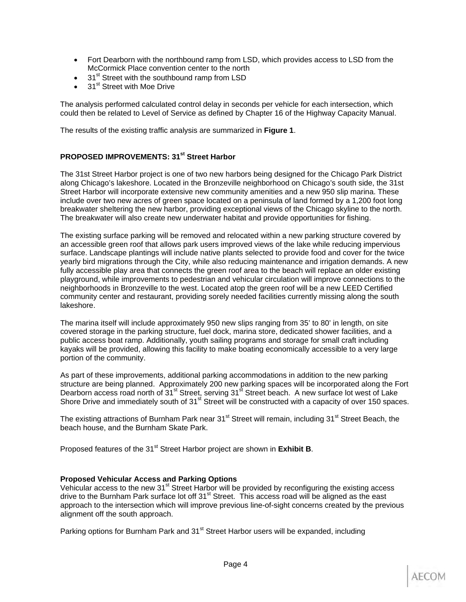- Fort Dearborn with the northbound ramp from LSD, which provides access to LSD from the McCormick Place convention center to the north
- 31<sup>st</sup> Street with the southbound ramp from LSD
- 31<sup>st</sup> Street with Moe Drive

The analysis performed calculated control delay in seconds per vehicle for each intersection, which could then be related to Level of Service as defined by Chapter 16 of the Highway Capacity Manual.

The results of the existing traffic analysis are summarized in **Figure 1**.

#### **PROPOSED IMPROVEMENTS: 31st Street Harbor**

The 31st Street Harbor project is one of two new harbors being designed for the Chicago Park District along Chicago's lakeshore. Located in the Bronzeville neighborhood on Chicago's south side, the 31st Street Harbor will incorporate extensive new community amenities and a new 950 slip marina. These include over two new acres of green space located on a peninsula of land formed by a 1,200 foot long breakwater sheltering the new harbor, providing exceptional views of the Chicago skyline to the north. The breakwater will also create new underwater habitat and provide opportunities for fishing.

The existing surface parking will be removed and relocated within a new parking structure covered by an accessible green roof that allows park users improved views of the lake while reducing impervious surface. Landscape plantings will include native plants selected to provide food and cover for the twice yearly bird migrations through the City, while also reducing maintenance and irrigation demands. A new fully accessible play area that connects the green roof area to the beach will replace an older existing playground, while improvements to pedestrian and vehicular circulation will improve connections to the neighborhoods in Bronzeville to the west. Located atop the green roof will be a new LEED Certified community center and restaurant, providing sorely needed facilities currently missing along the south lakeshore.

The marina itself will include approximately 950 new slips ranging from 35' to 80' in length, on site covered storage in the parking structure, fuel dock, marina store, dedicated shower facilities, and a public access boat ramp. Additionally, youth sailing programs and storage for small craft including kayaks will be provided, allowing this facility to make boating economically accessible to a very large portion of the community.

As part of these improvements, additional parking accommodations in addition to the new parking structure are being planned. Approximately 200 new parking spaces will be incorporated along the Fort Dearborn access road north of 31<sup>st</sup> Street, serving 31<sup>st</sup> Street beach. A new surface lot west of Lake Shore Drive and immediately south of 31<sup>st</sup> Street will be constructed with a capacity of over 150 spaces.

The existing attractions of Burnham Park near 31<sup>st</sup> Street will remain, including 31<sup>st</sup> Street Beach, the beach house, and the Burnham Skate Park.

Proposed features of the 31<sup>st</sup> Street Harbor project are shown in **Exhibit B**.

#### **Proposed Vehicular Access and Parking Options**

Vehicular access to the new 31<sup>st</sup> Street Harbor will be provided by reconfiguring the existing access drive to the Burnham Park surface lot off  $31<sup>st</sup>$  Street. This access road will be aligned as the east approach to the intersection which will improve previous line-of-sight concerns created by the previous alignment off the south approach.

Parking options for Burnham Park and 31<sup>st</sup> Street Harbor users will be expanded, including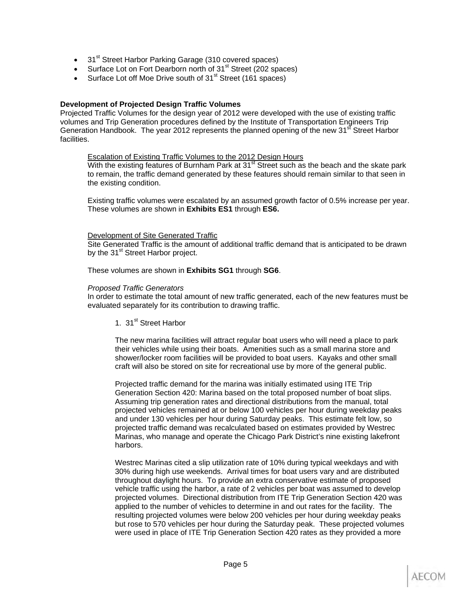- 31<sup>st</sup> Street Harbor Parking Garage (310 covered spaces)
- Surface Lot on Fort Dearborn north of 31<sup>st</sup> Street (202 spaces)
- Surface Lot off Moe Drive south of 31<sup>st</sup> Street (161 spaces)

#### **Development of Projected Design Traffic Volumes**

Projected Traffic Volumes for the design year of 2012 were developed with the use of existing traffic volumes and Trip Generation procedures defined by the Institute of Transportation Engineers Trip Generation Handbook. The year 2012 represents the planned opening of the new 31<sup>st</sup> Street Harbor facilities.

Escalation of Existing Traffic Volumes to the 2012 Design Hours

With the existing features of Burnham Park at  $31<sup>st</sup>$  Street such as the beach and the skate park to remain, the traffic demand generated by these features should remain similar to that seen in the existing condition.

Existing traffic volumes were escalated by an assumed growth factor of 0.5% increase per year. These volumes are shown in **Exhibits ES1** through **ES6.**

#### Development of Site Generated Traffic

Site Generated Traffic is the amount of additional traffic demand that is anticipated to be drawn by the 31<sup>st</sup> Street Harbor project.

These volumes are shown in **Exhibits SG1** through **SG6**.

#### *Proposed Traffic Generators*

In order to estimate the total amount of new traffic generated, each of the new features must be evaluated separately for its contribution to drawing traffic.

1. 31<sup>st</sup> Street Harbor

The new marina facilities will attract regular boat users who will need a place to park their vehicles while using their boats. Amenities such as a small marina store and shower/locker room facilities will be provided to boat users. Kayaks and other small craft will also be stored on site for recreational use by more of the general public.

Projected traffic demand for the marina was initially estimated using ITE Trip Generation Section 420: Marina based on the total proposed number of boat slips. Assuming trip generation rates and directional distributions from the manual, total projected vehicles remained at or below 100 vehicles per hour during weekday peaks and under 130 vehicles per hour during Saturday peaks. This estimate felt low, so projected traffic demand was recalculated based on estimates provided by Westrec Marinas, who manage and operate the Chicago Park District's nine existing lakefront harbors.

Westrec Marinas cited a slip utilization rate of 10% during typical weekdays and with 30% during high use weekends. Arrival times for boat users vary and are distributed throughout daylight hours. To provide an extra conservative estimate of proposed vehicle traffic using the harbor, a rate of 2 vehicles per boat was assumed to develop projected volumes. Directional distribution from ITE Trip Generation Section 420 was applied to the number of vehicles to determine in and out rates for the facility. The resulting projected volumes were below 200 vehicles per hour during weekday peaks but rose to 570 vehicles per hour during the Saturday peak. These projected volumes were used in place of ITE Trip Generation Section 420 rates as they provided a more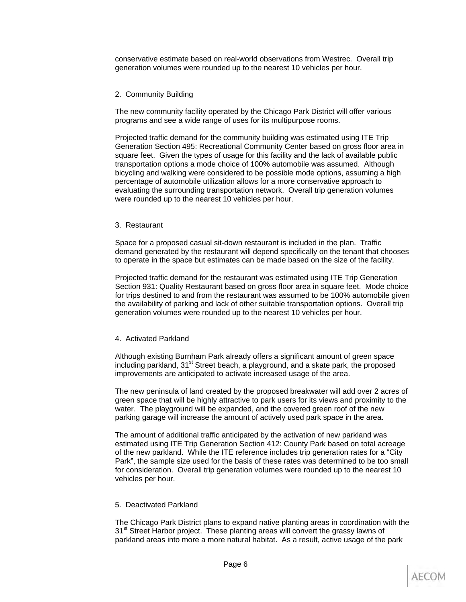conservative estimate based on real-world observations from Westrec. Overall trip generation volumes were rounded up to the nearest 10 vehicles per hour.

#### 2. Community Building

The new community facility operated by the Chicago Park District will offer various programs and see a wide range of uses for its multipurpose rooms.

Projected traffic demand for the community building was estimated using ITE Trip Generation Section 495: Recreational Community Center based on gross floor area in square feet. Given the types of usage for this facility and the lack of available public transportation options a mode choice of 100% automobile was assumed. Although bicycling and walking were considered to be possible mode options, assuming a high percentage of automobile utilization allows for a more conservative approach to evaluating the surrounding transportation network. Overall trip generation volumes were rounded up to the nearest 10 vehicles per hour.

#### 3. Restaurant

Space for a proposed casual sit-down restaurant is included in the plan. Traffic demand generated by the restaurant will depend specifically on the tenant that chooses to operate in the space but estimates can be made based on the size of the facility.

Projected traffic demand for the restaurant was estimated using ITE Trip Generation Section 931: Quality Restaurant based on gross floor area in square feet. Mode choice for trips destined to and from the restaurant was assumed to be 100% automobile given the availability of parking and lack of other suitable transportation options. Overall trip generation volumes were rounded up to the nearest 10 vehicles per hour.

#### 4. Activated Parkland

Although existing Burnham Park already offers a significant amount of green space including parkland, 31<sup>st</sup> Street beach, a playground, and a skate park, the proposed improvements are anticipated to activate increased usage of the area.

The new peninsula of land created by the proposed breakwater will add over 2 acres of green space that will be highly attractive to park users for its views and proximity to the water. The playground will be expanded, and the covered green roof of the new parking garage will increase the amount of actively used park space in the area.

The amount of additional traffic anticipated by the activation of new parkland was estimated using ITE Trip Generation Section 412: County Park based on total acreage of the new parkland. While the ITE reference includes trip generation rates for a "City Park", the sample size used for the basis of these rates was determined to be too small for consideration. Overall trip generation volumes were rounded up to the nearest 10 vehicles per hour.

#### 5. Deactivated Parkland

The Chicago Park District plans to expand native planting areas in coordination with the 31<sup>st</sup> Street Harbor project. These planting areas will convert the grassy lawns of parkland areas into more a more natural habitat. As a result, active usage of the park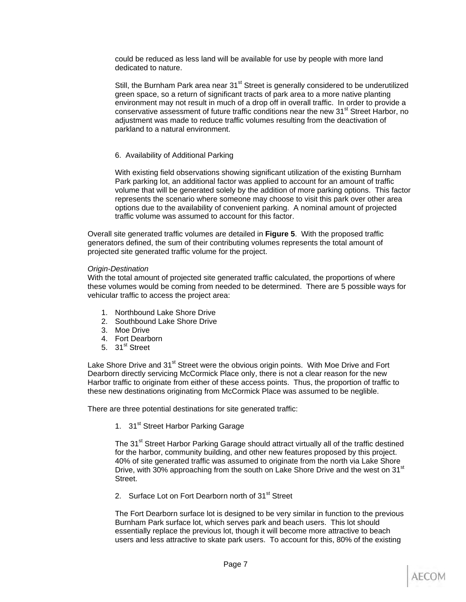could be reduced as less land will be available for use by people with more land dedicated to nature.

Still, the Burnham Park area near 31<sup>st</sup> Street is generally considered to be underutilized green space, so a return of significant tracts of park area to a more native planting environment may not result in much of a drop off in overall traffic. In order to provide a conservative assessment of future traffic conditions near the new 31<sup>st</sup> Street Harbor, no adjustment was made to reduce traffic volumes resulting from the deactivation of parkland to a natural environment.

#### 6. Availability of Additional Parking

With existing field observations showing significant utilization of the existing Burnham Park parking lot, an additional factor was applied to account for an amount of traffic volume that will be generated solely by the addition of more parking options. This factor represents the scenario where someone may choose to visit this park over other area options due to the availability of convenient parking. A nominal amount of projected traffic volume was assumed to account for this factor.

Overall site generated traffic volumes are detailed in **Figure 5**. With the proposed traffic generators defined, the sum of their contributing volumes represents the total amount of projected site generated traffic volume for the project.

#### *Origin-Destination*

With the total amount of projected site generated traffic calculated, the proportions of where these volumes would be coming from needed to be determined. There are 5 possible ways for vehicular traffic to access the project area:

- 1. Northbound Lake Shore Drive
- 2. Southbound Lake Shore Drive
- 3. Moe Drive
- 4. Fort Dearborn
- 5.  $31<sup>st</sup>$  Street

Lake Shore Drive and 31<sup>st</sup> Street were the obvious origin points. With Moe Drive and Fort Dearborn directly servicing McCormick Place only, there is not a clear reason for the new Harbor traffic to originate from either of these access points. Thus, the proportion of traffic to these new destinations originating from McCormick Place was assumed to be neglible.

There are three potential destinations for site generated traffic:

1. 31<sup>st</sup> Street Harbor Parking Garage

The 31<sup>st</sup> Street Harbor Parking Garage should attract virtually all of the traffic destined for the harbor, community building, and other new features proposed by this project. 40% of site generated traffic was assumed to originate from the north via Lake Shore Drive, with 30% approaching from the south on Lake Shore Drive and the west on 31<sup>st</sup> Street.

2. Surface Lot on Fort Dearborn north of 31<sup>st</sup> Street

The Fort Dearborn surface lot is designed to be very similar in function to the previous Burnham Park surface lot, which serves park and beach users. This lot should essentially replace the previous lot, though it will become more attractive to beach users and less attractive to skate park users. To account for this, 80% of the existing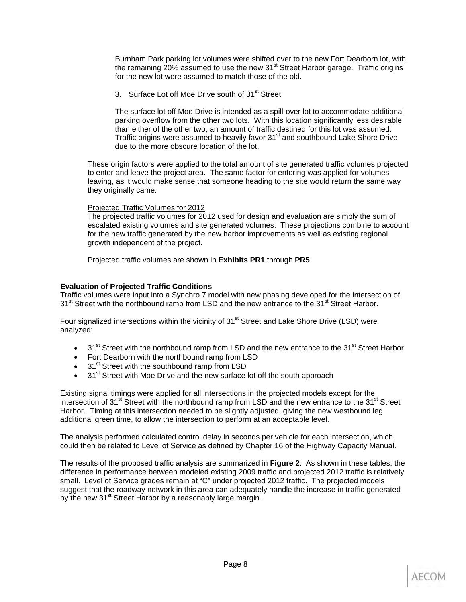Burnham Park parking lot volumes were shifted over to the new Fort Dearborn lot, with the remaining  $20\%$  assumed to use the new 31 $\mathrm{^{st}}$  Street Harbor garage. Traffic origins for the new lot were assumed to match those of the old.

3. Surface Lot off Moe Drive south of 31<sup>st</sup> Street

The surface lot off Moe Drive is intended as a spill-over lot to accommodate additional parking overflow from the other two lots. With this location significantly less desirable than either of the other two, an amount of traffic destined for this lot was assumed. Traffic origins were assumed to heavily favor  $31<sup>st</sup>$  and southbound Lake Shore Drive due to the more obscure location of the lot.

These origin factors were applied to the total amount of site generated traffic volumes projected to enter and leave the project area. The same factor for entering was applied for volumes leaving, as it would make sense that someone heading to the site would return the same way they originally came.

#### Projected Traffic Volumes for 2012

The projected traffic volumes for 2012 used for design and evaluation are simply the sum of escalated existing volumes and site generated volumes. These projections combine to account for the new traffic generated by the new harbor improvements as well as existing regional growth independent of the project.

Projected traffic volumes are shown in **Exhibits PR1** through **PR5**.

#### **Evaluation of Projected Traffic Conditions**

Traffic volumes were input into a Synchro 7 model with new phasing developed for the intersection of 31<sup>st</sup> Street with the northbound ramp from LSD and the new entrance to the 31<sup>st</sup> Street Harbor.

Four signalized intersections within the vicinity of  $31<sup>st</sup>$  Street and Lake Shore Drive (LSD) were analyzed:

- $\bullet$  31<sup>st</sup> Street with the northbound ramp from LSD and the new entrance to the 31<sup>st</sup> Street Harbor
- Fort Dearborn with the northbound ramp from LSD
- 31<sup>st</sup> Street with the southbound ramp from LSD
- 31<sup>st</sup> Street with Moe Drive and the new surface lot off the south approach

Existing signal timings were applied for all intersections in the projected models except for the intersection of 31<sup>st</sup> Street with the northbound ramp from LSD and the new entrance to the 31<sup>st</sup> Street Harbor. Timing at this intersection needed to be slightly adjusted, giving the new westbound leg additional green time, to allow the intersection to perform at an acceptable level.

The analysis performed calculated control delay in seconds per vehicle for each intersection, which could then be related to Level of Service as defined by Chapter 16 of the Highway Capacity Manual.

The results of the proposed traffic analysis are summarized in **Figure 2**. As shown in these tables, the difference in performance between modeled existing 2009 traffic and projected 2012 traffic is relatively small. Level of Service grades remain at "C" under projected 2012 traffic. The projected models suggest that the roadway network in this area can adequately handle the increase in traffic generated by the new 31<sup>st</sup> Street Harbor by a reasonably large margin.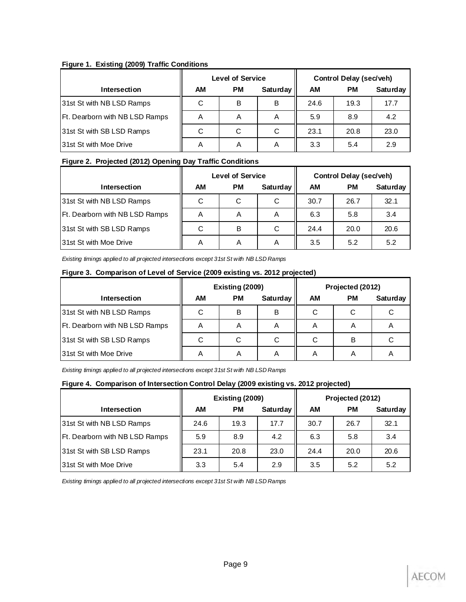#### **Figure 1. Existing (2009) Traffic Conditions**

|                                |    | <b>Level of Service</b> |          | <b>Control Delay (sec/veh)</b> |      |          |  |
|--------------------------------|----|-------------------------|----------|--------------------------------|------|----------|--|
| <b>Intersection</b>            | АM | <b>PM</b>               | Saturday | AМ                             | РM   | Saturday |  |
| 31st St with NB LSD Ramps      | С  | B                       | B        | 24.6                           | 19.3 | 17.7     |  |
| Ft. Dearborn with NB LSD Ramps | A  | Α                       | Α        | 5.9                            | 8.9  | 4.2      |  |
| 31st St with SB LSD Ramps      | С  | С                       | С        | 23.1                           | 20.8 | 23.0     |  |
| 31st St with Moe Drive         | A  | A                       | Α        | 3.3                            | 5.4  | 2.9      |  |

#### **Figure 2. Projected (2012) Opening Day Traffic Conditions**

|                                       |    | <b>Level of Service</b> |          | <b>Control Delay (sec/veh)</b> |           |          |  |
|---------------------------------------|----|-------------------------|----------|--------------------------------|-----------|----------|--|
| <b>Intersection</b>                   | АM | <b>PM</b>               | Saturday | AM                             | <b>PM</b> | Saturday |  |
| 31st St with NB LSD Ramps             | C  | С                       | C        | 30.7                           | 26.7      | 32.1     |  |
| <b>Ft. Dearborn with NB LSD Ramps</b> | A  | Α                       | A        | 6.3                            | 5.8       | 3.4      |  |
| 31st St with SB LSD Ramps             | C  | B                       | С        | 24.4                           | 20.0      | 20.6     |  |
| <b>131st St with Moe Drive</b>        | A  | A                       | Α        | 3.5                            | 5.2       | 5.2      |  |

*Existing timings applied to all projected intersections except 31st St with NB LSD Ramps*

#### **Figure 3. Comparison of Level of Service (2009 existing vs. 2012 projected)**

|                                |    | Existing (2009) |          | Projected (2012) |    |          |  |
|--------------------------------|----|-----------------|----------|------------------|----|----------|--|
| <b>Intersection</b>            | AM | <b>PM</b>       | Saturday | AM               | РM | Saturday |  |
| 31st St with NB LSD Ramps      |    | В               | в        | C                | С  |          |  |
| Ft. Dearborn with NB LSD Ramps | Α  | A               | 宀        | A                | A  |          |  |
| 31st St with SB LSD Ramps      |    | С               | С        | C                | B  |          |  |
| 31st St with Moe Drive         | A  | A               | A        | A                | Α  | r        |  |

*Existing timings applied to all projected intersections except 31st St with NB LSD Ramps*

#### **Figure 4. Comparison of Intersection Control Delay (2009 existing vs. 2012 projected)**

|                                |      | Existing (2009) |          | Projected (2012) |           |          |  |
|--------------------------------|------|-----------------|----------|------------------|-----------|----------|--|
| Intersection                   | AM   | <b>PM</b>       | Saturday | АM               | <b>PM</b> | Saturday |  |
| 31st St with NB LSD Ramps      | 24.6 | 19.3            | 17.7     | 30.7             | 26.7      | 32.1     |  |
| Ft. Dearborn with NB LSD Ramps | 5.9  | 8.9             | 4.2      | 6.3              | 5.8       | 3.4      |  |
| 31st St with SB LSD Ramps      | 23.1 | 20.8            | 23.0     | 24.4             | 20.0      | 20.6     |  |
| <b>31st St with Moe Drive</b>  | 3.3  | 5.4             | 2.9      | 3.5              | 5.2       | 5.2      |  |

*Existing timings applied to all projected intersections except 31st St with NB LSD Ramps*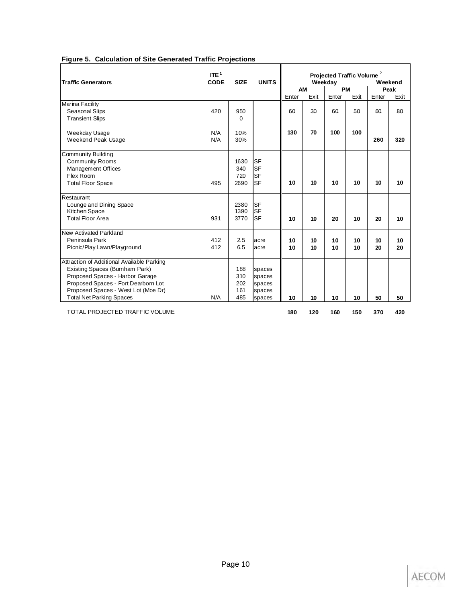| ITE <sup>1</sup><br><b>CODE</b><br><b>SIZE</b><br><b>Traffic Generators</b> |     |          | <b>UNITS</b> | Projected Traffic Volume <sup>2</sup><br>Weekday<br>Weekend |      |       |           |       |        |
|-----------------------------------------------------------------------------|-----|----------|--------------|-------------------------------------------------------------|------|-------|-----------|-------|--------|
|                                                                             |     |          |              |                                                             | AM   |       | <b>PM</b> |       | Peak   |
|                                                                             |     |          |              | Enter                                                       | Exit | Enter | Exit      | Enter | Exit   |
| Marina Facility                                                             |     |          |              |                                                             |      |       |           |       |        |
| Seasonal Slips                                                              | 420 | 950      |              | 60                                                          | 30   | 60    | 50        | 60    | $80 -$ |
| <b>Transient Slips</b>                                                      |     | $\Omega$ |              |                                                             |      |       |           |       |        |
| Weekday Usage                                                               | N/A | 10%      |              | 130                                                         | 70   | 100   | 100       |       |        |
| Weekend Peak Usage                                                          | N/A | 30%      |              |                                                             |      |       |           | 260   | 320    |
| Community Building                                                          |     |          |              |                                                             |      |       |           |       |        |
| <b>Community Rooms</b>                                                      |     | 1630     | <b>SF</b>    |                                                             |      |       |           |       |        |
| Management Offices                                                          |     | 340      | <b>SF</b>    |                                                             |      |       |           |       |        |
| Flex Room                                                                   |     | 720      | <b>SF</b>    |                                                             |      |       |           |       |        |
| <b>Total Floor Space</b>                                                    | 495 | 2690     | <b>SF</b>    | 10                                                          | 10   | 10    | 10        | 10    | 10     |
| Restaurant                                                                  |     |          |              |                                                             |      |       |           |       |        |
| Lounge and Dining Space                                                     |     | 2380     | <b>SF</b>    |                                                             |      |       |           |       |        |
| Kitchen Space                                                               |     | 1390     | <b>SF</b>    |                                                             |      |       |           |       |        |
| <b>Total Floor Area</b>                                                     | 931 | 3770     | <b>SF</b>    | 10                                                          | 10   | 20    | 10        | 20    | 10     |
| New Activated Parkland                                                      |     |          |              |                                                             |      |       |           |       |        |
| Peninsula Park                                                              | 412 | 2.5      | acre         | 10                                                          | 10   | 10    | 10        | 10    | 10     |
| Picnic/Play Lawn/Playground                                                 | 412 | 6.5      | acre         | 10                                                          | 10   | 10    | 10        | 20    | 20     |
| Attraction of Additional Available Parking                                  |     |          |              |                                                             |      |       |           |       |        |
| Existing Spaces (Burnham Park)                                              |     | 188      | spaces       |                                                             |      |       |           |       |        |
| Proposed Spaces - Harbor Garage                                             |     | 310      | spaces       |                                                             |      |       |           |       |        |
| Proposed Spaces - Fort Dearborn Lot                                         |     | 202      | spaces       |                                                             |      |       |           |       |        |
| Proposed Spaces - West Lot (Moe Dr)                                         |     | 161      | spaces       |                                                             |      |       |           |       |        |
| <b>Total Net Parking Spaces</b>                                             | N/A | 485      | spaces       | 10                                                          | 10   | 10    | 10        | 50    | 50     |
| TOTAL PROJECTED TRAFFIC VOLUME                                              |     |          |              | 180                                                         | 120  | 160   | 150       | 370   | 420    |

#### **Figure 5. Calculation of Site Generated Traffic Projections**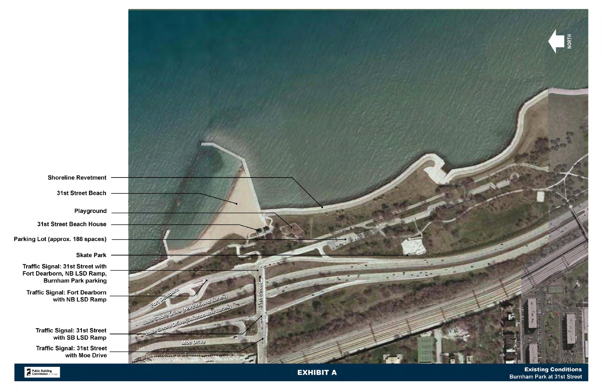

Public Building

**EXHIBIT A** 

**Existing Conditions Burnham Park at 31st Street**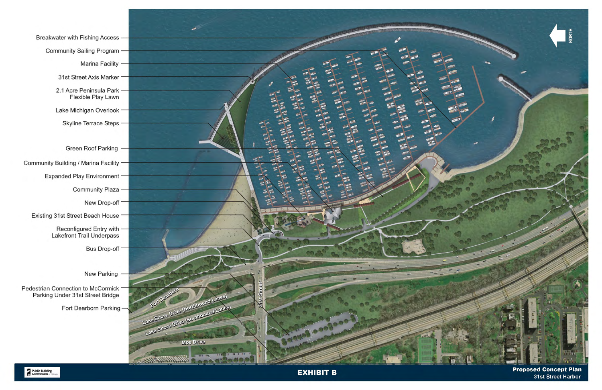Breakwater with Fishing Access -Community Sailing Program Marina Facility -31st Street Axis Marker 2.1 Acre Peninsula Park -Flexible Play Lawn Lake Michigan Overlook -Skyline Terrace Steps -Green Roof Parking -Community Building / Marina Facility -**Expanded Play Environment -**Community Plaza -New Drop-off -Existing 31st Street Beach House -Reconfigured Entry with -Lakefront Trail Underpass Bus Drop-off -New Parking Pedestrian Connection to McCormick Parking Under 31st Street Bridge Fort Dearborn Parking-



**EXHIBIT B** 

**Proposed Concept Plan** 31st Street Harbor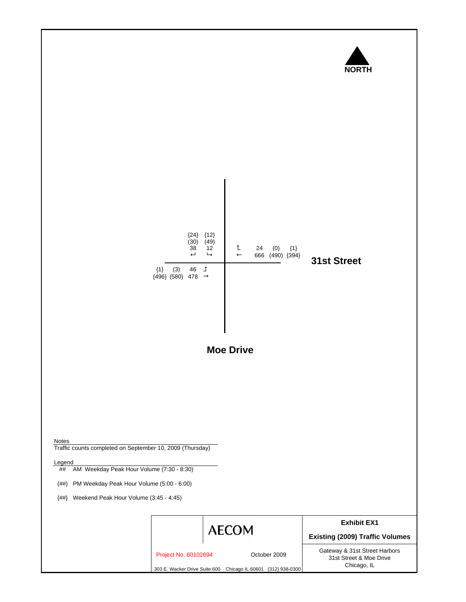

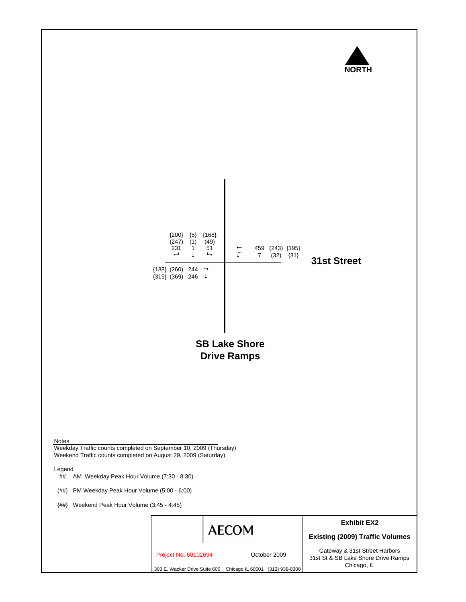

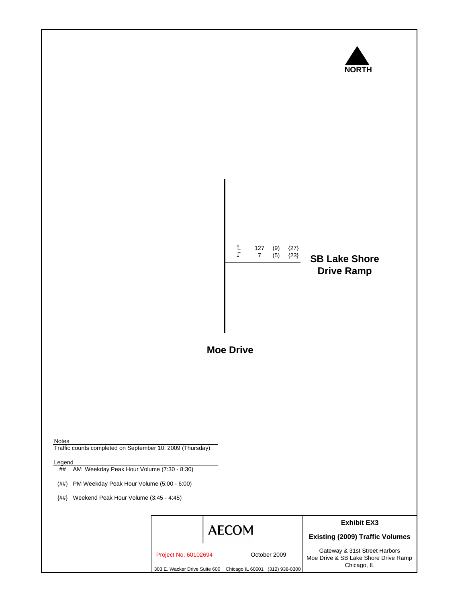



Notes

Legend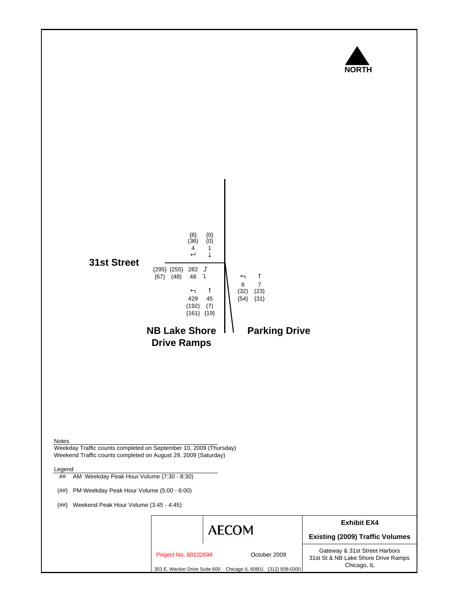

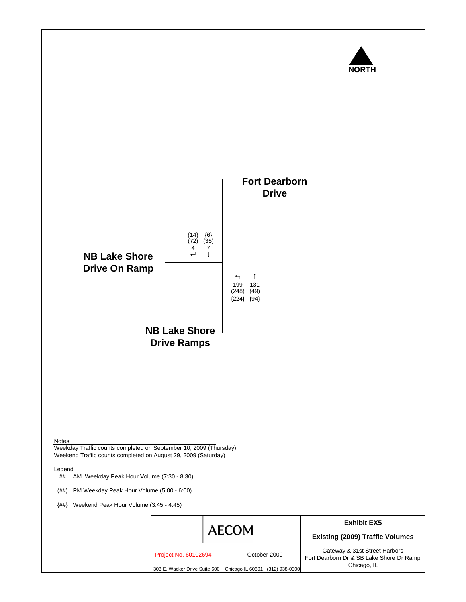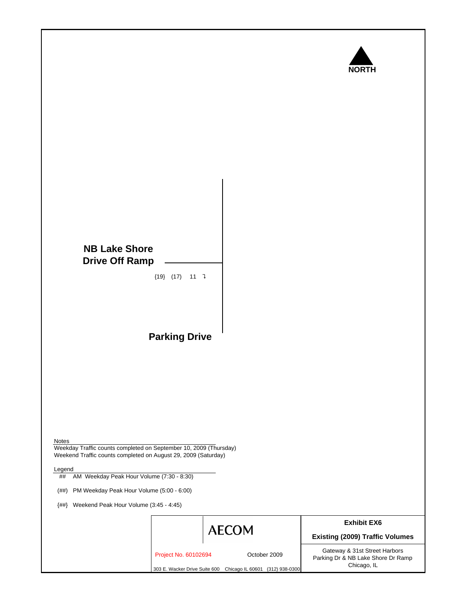

### **NB Lake Shore Drive Off Ramp**

 ${19}$   $(17)$  11 ]

**Parking Drive**

Notes

Weekday Traffic counts completed on September 10, 2009 (Thursday) Weekend Traffic counts completed on August 29, 2009 (Saturday)

Legend

## AM Weekday Peak Hour Volume (7:30 - 8:30)

(##) PM Weekday Peak Hour Volume (5:00 - 6:00)

{##} Weekend Peak Hour Volume (3:45 - 4:45)



**Exhibit EX6**

**Existing (2009) Traffic Volumes** Gateway & 31st Street Harbors

Project No. 60102694 October 2009

303 E. Wacker Drive Suite 600 Chicago IL 60601 (312) 938-0300

Parking Dr & NB Lake Shore Dr Ramp Chicago, IL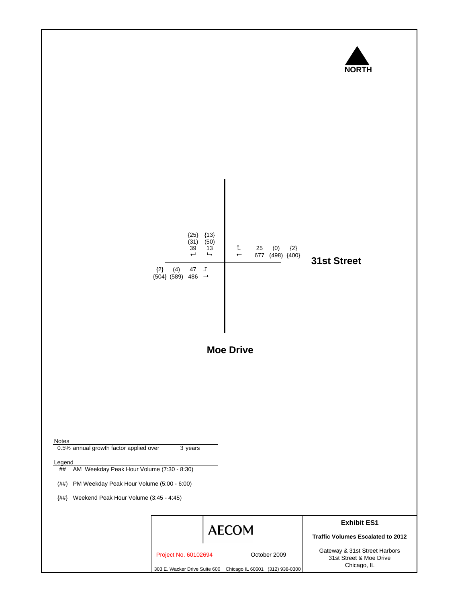

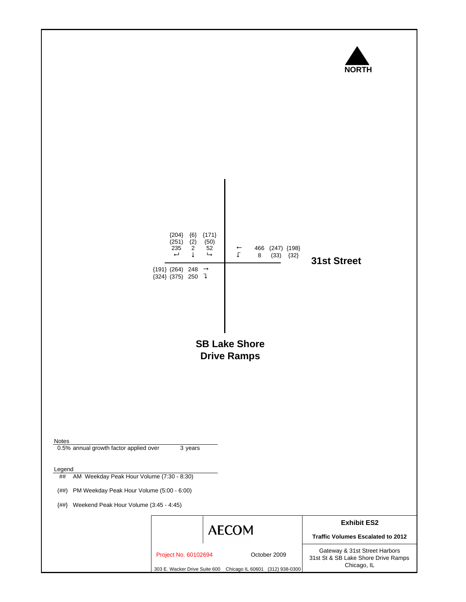

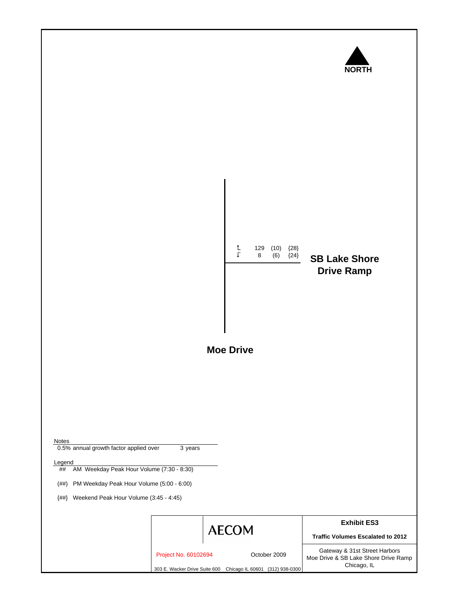

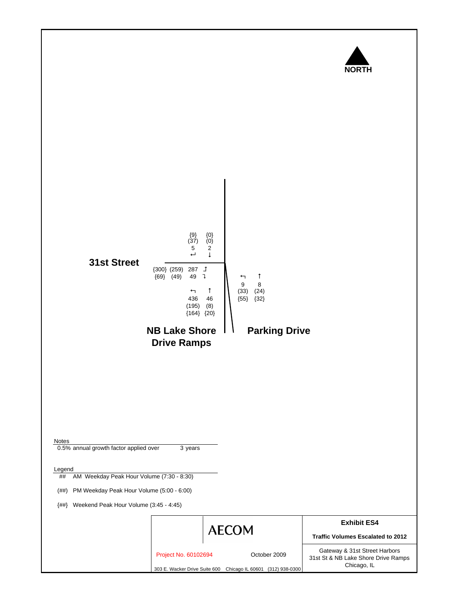

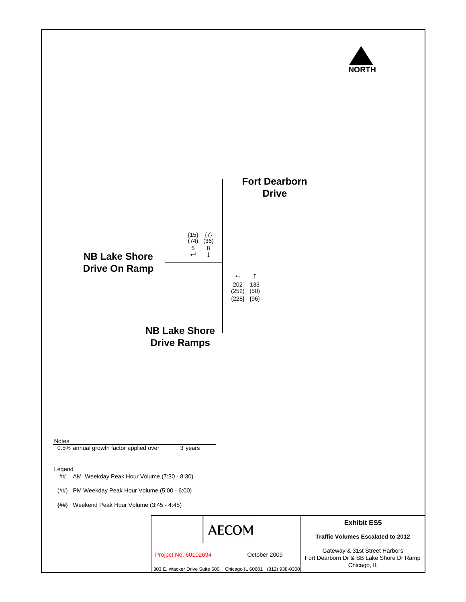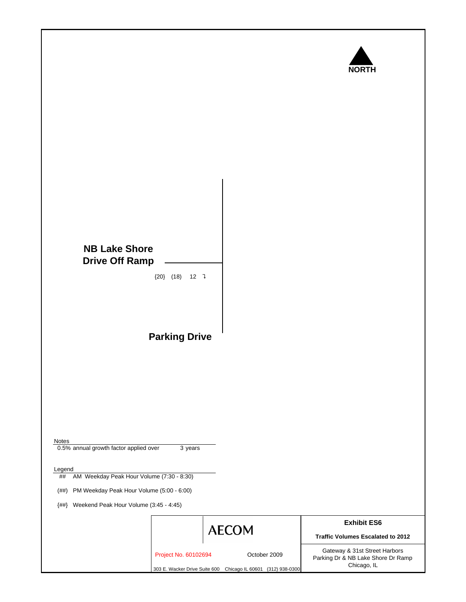

# **NB Lake Shore Drive Off Ramp** ${20}$   $(18)$  12 ] **Parking Drive** Notes 0.5% annual growth factor applied over 3 years **Legend** ## AM Weekday Peak Hour Volume (7:30 - 8:30) (##) PM Weekday Peak Hour Volume (5:00 - 6:00) {##} Weekend Peak Hour Volume (3:45 - 4:45) **Exhibit ES6 AECOM Traffic Volumes Escalated to 2012** Gateway & 31st Street Harbors Project No. 60102694 October 2009 Parking Dr & NB Lake Shore Dr Ramp

303 E. Wacker Drive Suite 600 Chicago IL 60601 (312) 938-0300

Chicago, IL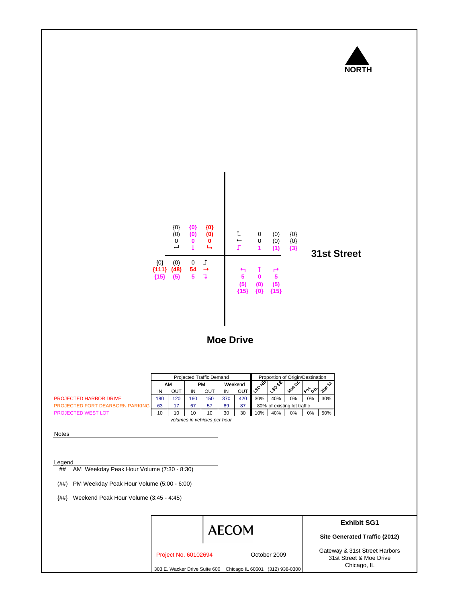

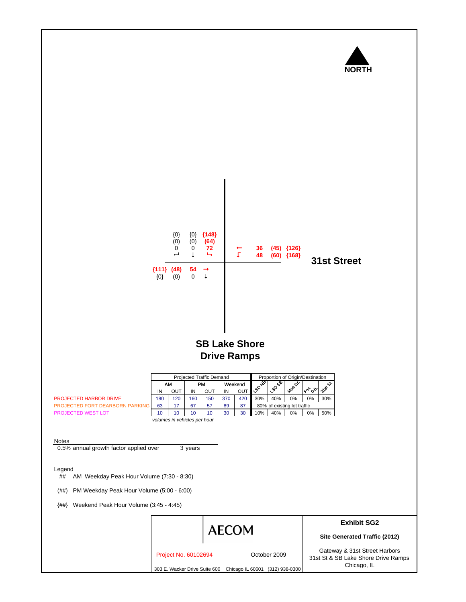

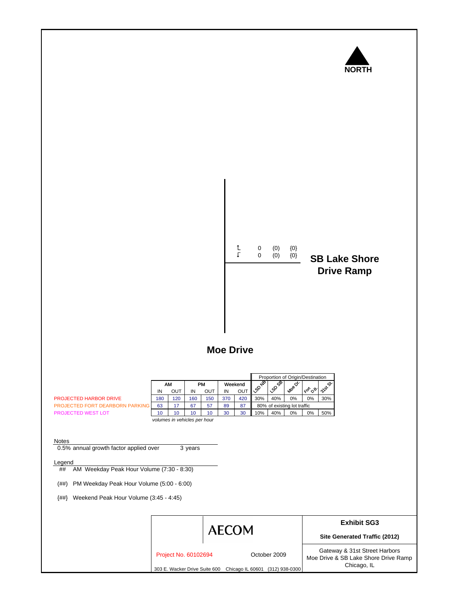

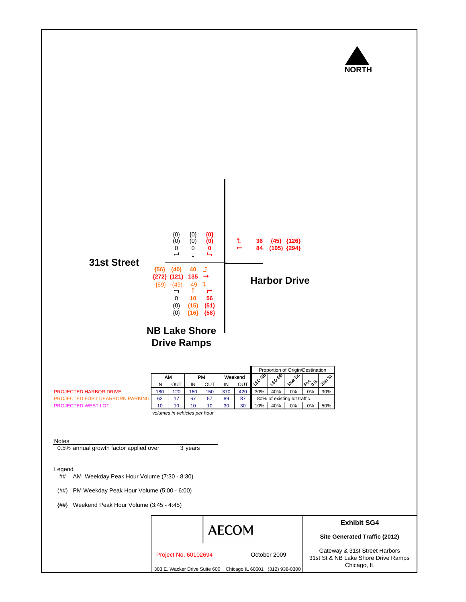

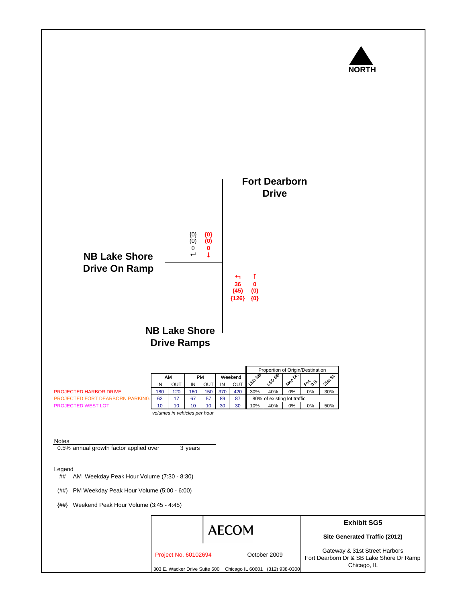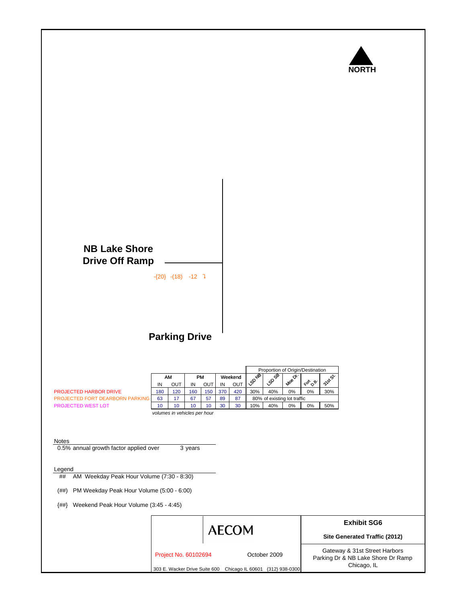

## **NB Lake Shore Drive Off Ramp**

 $-{20}$   $-{18}$   $-12$   $\sqrt{ }$ 

## **Parking Drive**

|                                        |     |     |     |     |     | Proportion of Origin/Destination |                             |     |          |                  |      |
|----------------------------------------|-----|-----|-----|-----|-----|----------------------------------|-----------------------------|-----|----------|------------------|------|
|                                        |     | AM  | PM  |     |     | Weekend                          | √చి                         | ଙ   | o.       |                  | ∾    |
|                                        | ΙN  | OUT | IN  | OUT | IN  | OUT                              | ା′୍ଚ∕ି                      | ళ   | $A^{08}$ | <sup>∢ଙ</sup> ୍ଗ | ДАЗ. |
| <b>PROJECTED HARBOR DRIVE</b>          | 180 | 120 | 160 | 150 | 370 | 420                              | 30%                         | 40% | 0%       | 0%               | 30%  |
| <b>PROJECTED FORT DEARBORN PARKING</b> | 63  | 17  | 67  | 57  | 89  | 87                               | 80% of existing lot traffic |     |          |                  |      |
| <b>PROJECTED WEST LOT</b>              | 10  | 10  | 10  | 10  | 30  | 30                               | 10%                         | 40% | $0\%$    | $0\%$            | 50%  |
|                                        |     |     |     |     |     |                                  |                             |     |          |                  |      |

*volumes in vehicles per hour*

#### Notes

0.5% annual growth factor applied over 3 years

#### Legend

## AM Weekday Peak Hour Volume (7:30 - 8:30)

(##) PM Weekday Peak Hour Volume (5:00 - 6:00)

{##} Weekend Peak Hour Volume (3:45 - 4:45)

|                      | <b>AECOM</b>                                                  |              | <b>Exhibit SG6</b><br>Site Generated Traffic (2012)                 |
|----------------------|---------------------------------------------------------------|--------------|---------------------------------------------------------------------|
| Project No. 60102694 |                                                               | October 2009 | Gateway & 31st Street Harbors<br>Parking Dr & NB Lake Shore Dr Ramp |
|                      | 303 E. Wacker Drive Suite 600 Chicago IL 60601 (312) 938-0300 |              | Chicago, IL                                                         |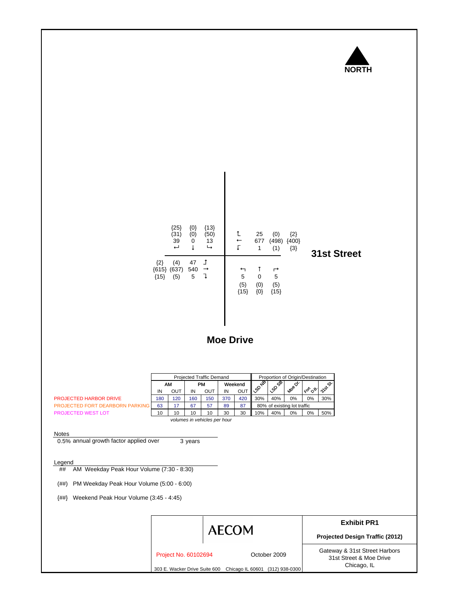

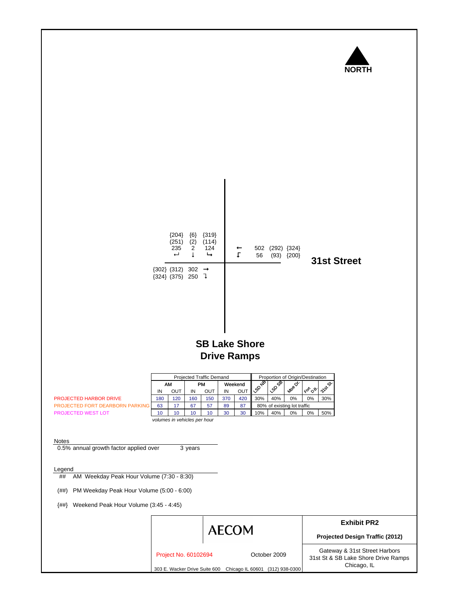

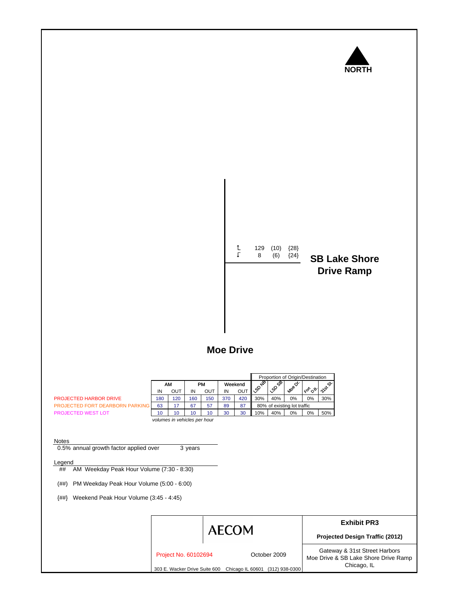

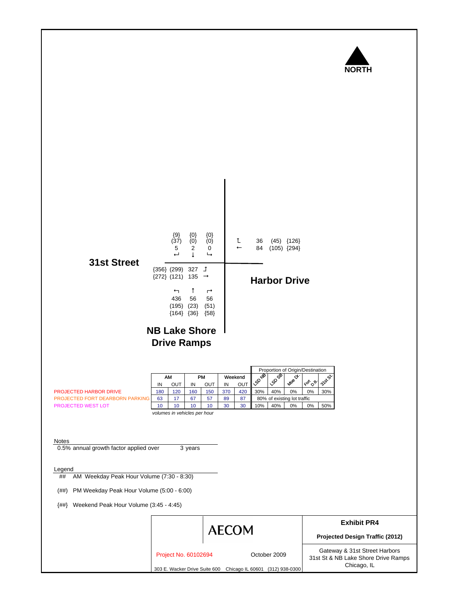